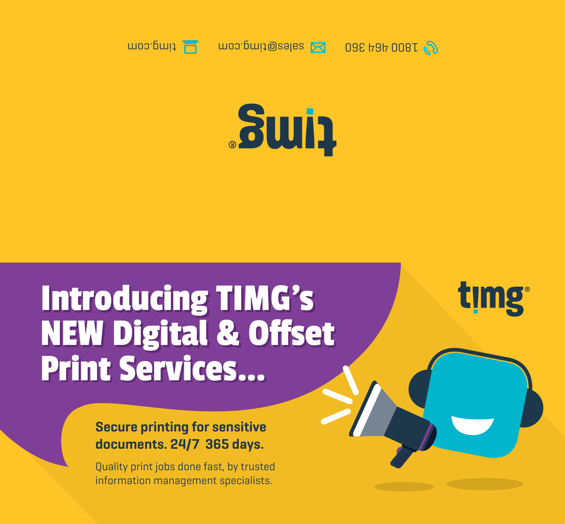



timg

## Introducing TIMG's Introducing TIMG's NEW Digital & Offset NEW Digital & Offset Print Services… Print Services…

## **Secure printing for sensitive documents. 24/7 365 days.**

Quality print jobs done fast, by trusted information management specialists.